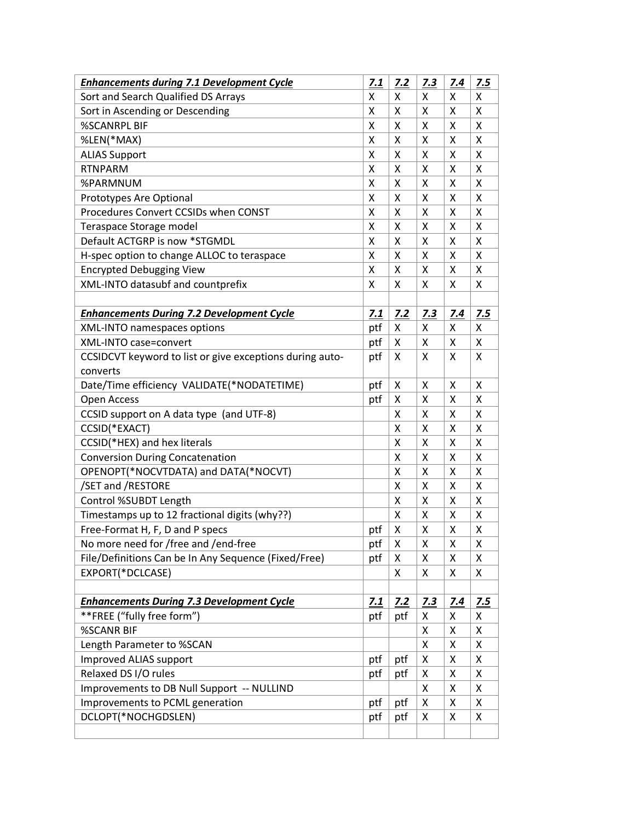| <b>Enhancements during 7.1 Development Cycle</b>         | 7.1 | 7.2 | 7.3 | 7.4        | 7.5 |
|----------------------------------------------------------|-----|-----|-----|------------|-----|
| Sort and Search Qualified DS Arrays                      | X   | Χ   | X   | X          | X   |
| Sort in Ascending or Descending                          | X   | X   | Χ   | X          | Χ   |
| <b>%SCANRPL BIF</b>                                      | X   | Χ   | X   | Χ          | X   |
| %LEN(*MAX)                                               | Χ   | X   | Χ   | Χ          | X   |
| <b>ALIAS Support</b>                                     | X   | X   | X   | X          | X   |
| <b>RTNPARM</b>                                           | X   | X   | X   | Χ          | X   |
| %PARMNUM                                                 | X   | Χ   | X   | X          | X   |
| Prototypes Are Optional                                  | X   | X   | Χ   | Χ          | Χ   |
| Procedures Convert CCSIDs when CONST                     | Χ   | Χ   | X   | X          | X   |
| Teraspace Storage model                                  | X   | Χ   | Χ   | X          | X   |
| Default ACTGRP is now *STGMDL                            | X   | X   | X   | X          | X   |
| H-spec option to change ALLOC to teraspace               | X   | Χ   | X   | X          | X   |
| <b>Encrypted Debugging View</b>                          | X   | Χ   | X   | X          | X   |
| XML-INTO datasubf and countprefix                        | Χ   | X   | Χ   | Χ          | Χ   |
|                                                          |     |     |     |            |     |
| <b>Enhancements During 7.2 Development Cycle</b>         | 7.1 | Z.2 | 7.3 | 7.4        | Z.5 |
| XML-INTO namespaces options                              | ptf | X   | X   | X          | X   |
| <b>XML-INTO case=convert</b>                             | ptf | Χ   | Χ   | X          | X   |
| CCSIDCVT keyword to list or give exceptions during auto- | ptf | x   | X   | X          | X   |
| converts                                                 |     |     |     |            |     |
| Date/Time efficiency VALIDATE(*NODATETIME)               | ptf | X   | X   | X          | X   |
| Open Access                                              | ptf | Χ   | X   | Χ          | X   |
| CCSID support on A data type (and UTF-8)                 |     | X   | Χ   | X          | X   |
| CCSID(*EXACT)                                            |     | X   | X   | X          | X   |
| CCSID(*HEX) and hex literals                             |     | Χ   | Χ   | Χ          | X   |
| <b>Conversion During Concatenation</b>                   |     | X   | Χ   | X          | X   |
| OPENOPT(*NOCVTDATA) and DATA(*NOCVT)                     |     | X   | Χ   | X          | X   |
| /SET and /RESTORE                                        |     | X   | X   | Χ          | X   |
| Control %SUBDT Length                                    |     | X   | X   | X          | Χ   |
| Timestamps up to 12 fractional digits (why??)            |     | X   | Χ   | X          | Χ   |
| Free-Format H, F, D and P specs                          | ptf | Χ   | X   | X          | Χ   |
| No more need for /free and /end-free                     | ptf | Χ   | Χ   | Χ          | X   |
| File/Definitions Can be In Any Sequence (Fixed/Free)     | ptf | X   | X   | X          | X   |
| EXPORT(*DCLCASE)                                         |     | X   | X   | X          | X   |
|                                                          |     |     |     |            |     |
| <b>Enhancements During 7.3 Development Cycle</b>         | 7.1 | 7.2 | 7.3 | <u>7.4</u> | 7.5 |
| **FREE ("fully free form")                               | ptf | ptf | x   | X          | X   |
| %SCANR BIF                                               |     |     | X   | X          | X   |
| Length Parameter to %SCAN                                |     |     | Χ   | Χ          | X   |
| <b>Improved ALIAS support</b>                            | ptf | ptf | Χ   | Χ          | X   |
| Relaxed DS I/O rules                                     | ptf | ptf | Χ   | Χ          | X   |
| Improvements to DB Null Support -- NULLIND               |     |     | Χ   | Χ          | X   |
| Improvements to PCML generation                          | ptf | ptf | Χ   | Χ          | X   |
| DCLOPT(*NOCHGDSLEN)                                      | ptf | ptf | X   | X          | X   |
|                                                          |     |     |     |            |     |